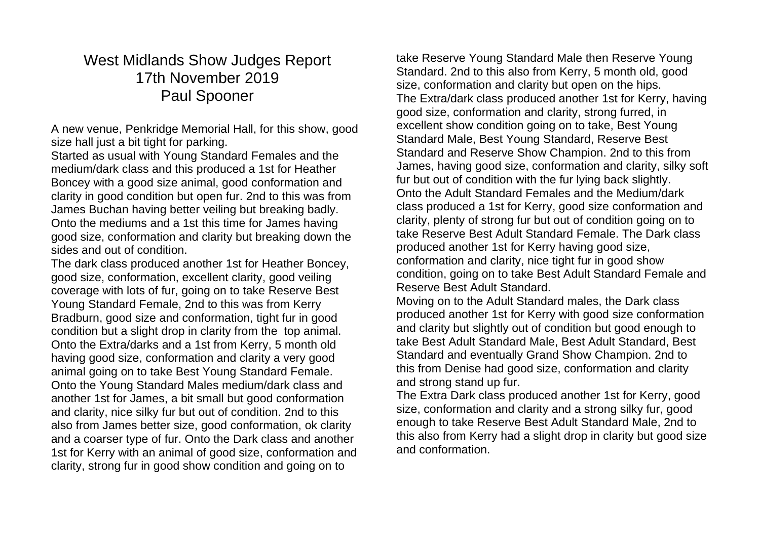## West Midlands Show Judges Report 17th November 2019 Paul Spooner

A new venue, Penkridge Memorial Hall, for this show, good size hall just a bit tight for parking.

Started as usual with Young Standard Females and the medium/dark class and this produced a 1st for Heather Boncey with a good size animal, good conformation and clarity in good condition but open fur. 2nd to this was from James Buchan having better veiling but breaking badly. Onto the mediums and a 1st this time for James having good size, conformation and clarity but breaking down the sides and out of condition.

The dark class produced another 1st for Heather Boncey, good size, conformation, excellent clarity, good veiling coverage with lots of fur, going on to take Reserve Best Young Standard Female, 2nd to this was from Kerry Bradburn, good size and conformation, tight fur in good condition but a slight drop in clarity from the top animal. Onto the Extra/darks and a 1st from Kerry, 5 month old having good size, conformation and clarity a very good animal going on to take Best Young Standard Female. Onto the Young Standard Males medium/dark class and another 1st for James, a bit small but good conformation and clarity, nice silky fur but out of condition. 2nd to this also from James better size, good conformation, ok clarity and a coarser type of fur. Onto the Dark class and another 1st for Kerry with an animal of good size, conformation and clarity, strong fur in good show condition and going on to

take Reserve Young Standard Male then Reserve Young Standard. 2nd to this also from Kerry, 5 month old, good size, conformation and clarity but open on the hips. The Extra/dark class produced another 1st for Kerry, having good size, conformation and clarity, strong furred, in excellent show condition going on to take, Best Young Standard Male, Best Young Standard, Reserve Best Standard and Reserve Show Champion. 2nd to this from James, having good size, conformation and clarity, silky soft fur but out of condition with the fur lying back slightly. Onto the Adult Standard Females and the Medium/dark class produced a 1st for Kerry, good size conformation and clarity, plenty of strong fur but out of condition going on to take Reserve Best Adult Standard Female. The Dark class produced another 1st for Kerry having good size, conformation and clarity, nice tight fur in good show condition, going on to take Best Adult Standard Female and Reserve Best Adult Standard.

Moving on to the Adult Standard males, the Dark class produced another 1st for Kerry with good size conformation and clarity but slightly out of condition but good enough to take Best Adult Standard Male, Best Adult Standard, Best Standard and eventually Grand Show Champion. 2nd to this from Denise had good size, conformation and clarity and strong stand up fur.

The Extra Dark class produced another 1st for Kerry, good size, conformation and clarity and a strong silky fur, good enough to take Reserve Best Adult Standard Male, 2nd to this also from Kerry had a slight drop in clarity but good size and conformation.